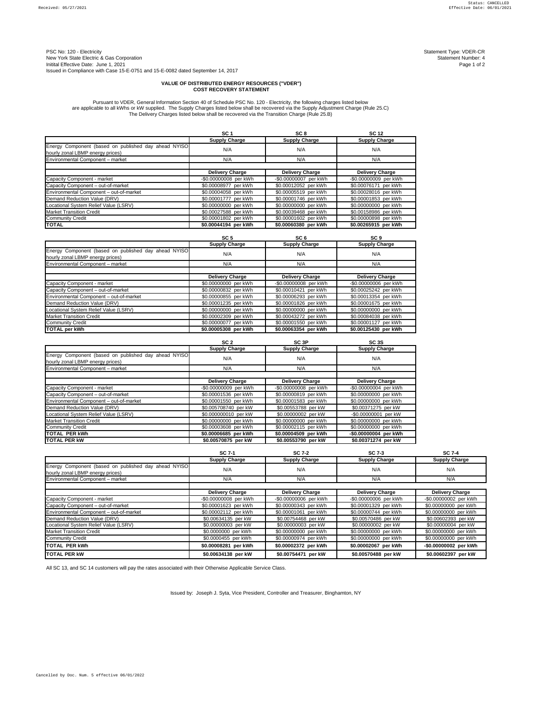PSC No: 120 - Electricity Statement Type: VDER-CR<br>New York Statement Type: VDER-CR<br>Statement Number: 4 New York State Electric & Gas Corporation<br>
Initital Effective Date: June 1, 2021<br>
Page 1 of 2 Initital Effective Date: June 1, 2021 Issued in Compliance with Case 15-E-0751 and 15-E-0082 dated September 14, 2017

|                                                                                          | SC <sub>1</sub>        | SC <sub>8</sub>        | <b>SC 12</b>           |
|------------------------------------------------------------------------------------------|------------------------|------------------------|------------------------|
|                                                                                          | <b>Supply Charge</b>   | <b>Supply Charge</b>   | <b>Supply Charge</b>   |
| Energy Component (based on published day ahead NYISO<br>hourly zonal LBMP energy prices) | N/A                    | N/A                    | N/A                    |
| Environmental Component - market                                                         | N/A                    | N/A                    | N/A                    |
|                                                                                          |                        |                        |                        |
|                                                                                          | <b>Delivery Charge</b> | <b>Delivery Charge</b> | <b>Delivery Charge</b> |
| Capacity Component - market                                                              | -\$0.00000008 per kWh  | -\$0.00000007 per kWh  | -\$0.00000009 per kWh  |
| Capacity Component - out-of-market                                                       | \$0.00008977 per kWh   | \$0.00012052 per kWh   | \$0.00076171 per kWh   |
| Environmental Component - out-of-market                                                  | \$0.00004058 per kWh   | \$0.00005519 per kWh   | \$0.00028016 per kWh   |
| Demand Reduction Value (DRV)                                                             | \$0.00001777 per kWh   | \$0.00001746 per kWh   | \$0.00001853 per kWh   |
| Locational System Relief Value (LSRV)                                                    | \$0.00000000 per kWh   | \$0.00000000 per kWh   | \$0.00000000 per kWh   |
| <b>Market Transition Credit</b>                                                          | \$0.00027588 per kWh   | \$0.00039468 per kWh   | \$0.00158986 per kWh   |
| <b>Community Credit</b>                                                                  | \$0.00001802 per kWh   | \$0.00001602 per kWh   | \$0.00000898 per kWh   |
| <b>TOTAL</b>                                                                             | \$0.00044194 per kWh   | \$0.00060380 per kWh   | \$0.00265915 per kWh   |

|                                                                                          | SC <sub>5</sub>        | SC <sub>6</sub>        | SC <sub>9</sub>        |  |
|------------------------------------------------------------------------------------------|------------------------|------------------------|------------------------|--|
|                                                                                          | <b>Supply Charge</b>   | <b>Supply Charge</b>   | <b>Supply Charge</b>   |  |
| Energy Component (based on published day ahead NYISO<br>hourly zonal LBMP energy prices) | N/A                    | N/A                    | N/A                    |  |
| Environmental Component - market                                                         | N/A                    | N/A                    | N/A                    |  |
|                                                                                          |                        |                        |                        |  |
|                                                                                          | <b>Delivery Charge</b> | <b>Delivery Charge</b> | <b>Delivery Charge</b> |  |
| Capacity Component - market                                                              | \$0.00000000 per kWh   | -\$0.00000008 per kWh  | -\$0.00000006 per kWh  |  |
| Capacity Component - out-of-market                                                       | \$0.00000832 per kWh   | \$0.00010421 per kWh   | \$0.00025242 per kWh   |  |
| Environmental Component - out-of-market                                                  | \$0.00000855 per kWh   | \$0.00006293 per kWh   | \$0.00013354 per kWh   |  |
| Demand Reduction Value (DRV)                                                             | \$0.00001235 per kWh   | \$0.00001826 per kWh   | \$0.00001675 per kWh   |  |
| Locational System Relief Value (LSRV)                                                    | \$0.00000000 per kWh   | \$0.00000000 per kWh   | \$0.00000000 per kWh   |  |
| <b>Market Transition Credit</b>                                                          | \$0.00002309 per kWh   | \$0.00043272 per kWh   | \$0.00084038 per kWh   |  |
| <b>Community Credit</b>                                                                  | \$0.00000077 per kWh   | \$0.00001550 per kWh   | \$0.00001127 per kWh   |  |
| <b>TOTAL per kWh</b>                                                                     | \$0.00005308 per kWh   | \$0.00063354 per kWh   | \$0.00125430 per kWh   |  |

|                                                                                          | SC <sub>2</sub>        | SC <sub>3P</sub>       | <b>SC 3S</b>           |
|------------------------------------------------------------------------------------------|------------------------|------------------------|------------------------|
|                                                                                          | <b>Supply Charge</b>   | <b>Supply Charge</b>   | <b>Supply Charge</b>   |
| Energy Component (based on published day ahead NYISO<br>hourly zonal LBMP energy prices) | N/A                    | N/A                    | N/A                    |
| Environmental Component - market                                                         | N/A                    | N/A                    | N/A                    |
|                                                                                          |                        |                        |                        |
|                                                                                          | <b>Delivery Charge</b> | <b>Delivery Charge</b> | <b>Delivery Charge</b> |
| Capacity Component - market                                                              | -\$0.00000009 per kWh  | -\$0.00000008 per kWh  | -\$0.00000004 per kWh  |
| Capacity Component - out-of-market                                                       | \$0.00001536 per kWh   | \$0.00000819 per kWh   | \$0.00000000 per kWh   |
| Environmental Component - out-of-market                                                  | \$0.00001550 per kWh   | \$0.00001583 per kWh   | \$0.00000000 per kWh   |
| Demand Reduction Value (DRV)                                                             | \$0.005708740 per kW   | \$0.00553788 per kW    | \$0.00371275 per kW    |
| Locational System Relief Value (LSRV)                                                    | \$0.000000010 per kW   | \$0.00000002 per kW    | -\$0.00000001 per kW   |
| <b>Market Transition Credit</b>                                                          | \$0.00000000 per kWh   | \$0.00000000 per kWh   | \$0.00000000 per kWh   |
| <b>Community Credit</b>                                                                  | \$0.00003608 per kWh   | \$0.00002115 per kWh   | \$0.00000000 per kWh   |
| <b>TOTAL PER kWh</b>                                                                     | \$0.00006685 per kWh   | \$0.00004509 per kWh   | -\$0.00000004 per kWh  |
| <b>TOTAL PER KW</b>                                                                      | \$0.00570875 per kW    | \$0.00553790 per kW    | \$0.00371274 per kW    |

|                                                                                          | <b>SC 7-1</b>          | <b>SC 7-2</b>          | <b>SC 7-3</b>          | <b>SC 7-4</b>          |
|------------------------------------------------------------------------------------------|------------------------|------------------------|------------------------|------------------------|
|                                                                                          | <b>Supply Charge</b>   | <b>Supply Charge</b>   | <b>Supply Charge</b>   | <b>Supply Charge</b>   |
| Energy Component (based on published day ahead NYISO<br>hourly zonal LBMP energy prices) | N/A                    | N/A                    | N/A                    | N/A                    |
| Environmental Component - market                                                         | N/A                    | N/A                    | N/A                    | N/A                    |
|                                                                                          | <b>Delivery Charge</b> | <b>Delivery Charge</b> | <b>Delivery Charge</b> | <b>Delivery Charge</b> |
| Capacity Component - market                                                              | -\$0.00000008 per kWh  | -\$0.00000006 per kWh  | -\$0.00000006 per kWh  | -\$0.00000002 per kWh  |
| Capacity Component - out-of-market                                                       | \$0.00001623 per kWh   | \$0.00000343 per kWh   | \$0.00001329 per kWh   | \$0.00000000 per kWh   |
| Environmental Component - out-of-market                                                  | \$0.00002112 per kWh   | \$0.00001061 per kWh   | \$0.00000744 per kWh   | \$0.00000000 per kWh   |
| Demand Reduction Value (DRV)                                                             | \$0.00634135 per kW    | \$0.00754468 per kW    | \$0.00570486 per kW    | \$0.00602393 per kW    |
| Locational System Relief Value (LSRV)                                                    | \$0.00000003 per kW    | \$0.00000003 per kW    | \$0.00000002 per kW    | \$0.00000004 per kW    |
| <b>Market Transition Credit</b>                                                          | \$0.0000000 per kWh    | \$0.00000000 per kWh   | \$0.00000000 per kWh   | \$0.00000000 per kWh   |
| <b>Community Credit</b>                                                                  | \$0.0000455 per kWh    | \$0.00000974 per kWh   | \$0.00000000 per kWh   | \$0.00000000 per kWh   |
| TOTAL PER kWh                                                                            | \$0.00008281 per kWh   | \$0.00002372 per kWh   | \$0.00002067 per kWh   | -\$0.00000002 per kWh  |
| <b>TOTAL PER KW</b>                                                                      | \$0.00634138 per kW    | \$0.00754471 per kW    | \$0.00570488 per kW    | \$0.00602397 per kW    |

Issued by: Joseph J. Syta, Vice President, Controller and Treasurer, Binghamton, NY

## **VALUE OF DISTRIBUTED ENERGY RESOURCES ("VDER") COST RECOVERY STATEMENT**

All SC 13, and SC 14 customers will pay the rates associated with their Otherwise Applicable Service Class.

Pursuant to VDER, General Information Section 40 of Schedule PSC No. 120 - Electricity, the following charges listed below are applicable to all kWhs or kW supplied. The Supply Charges listed below shall be recovered via the Supply Adjustment Charge (Rule 25.C) The Delivery Charges listed below shall be recovered via the Transition Charge (Rule 25.B)

Cancelled by Doc. Num. 5 effective 06/01/2022